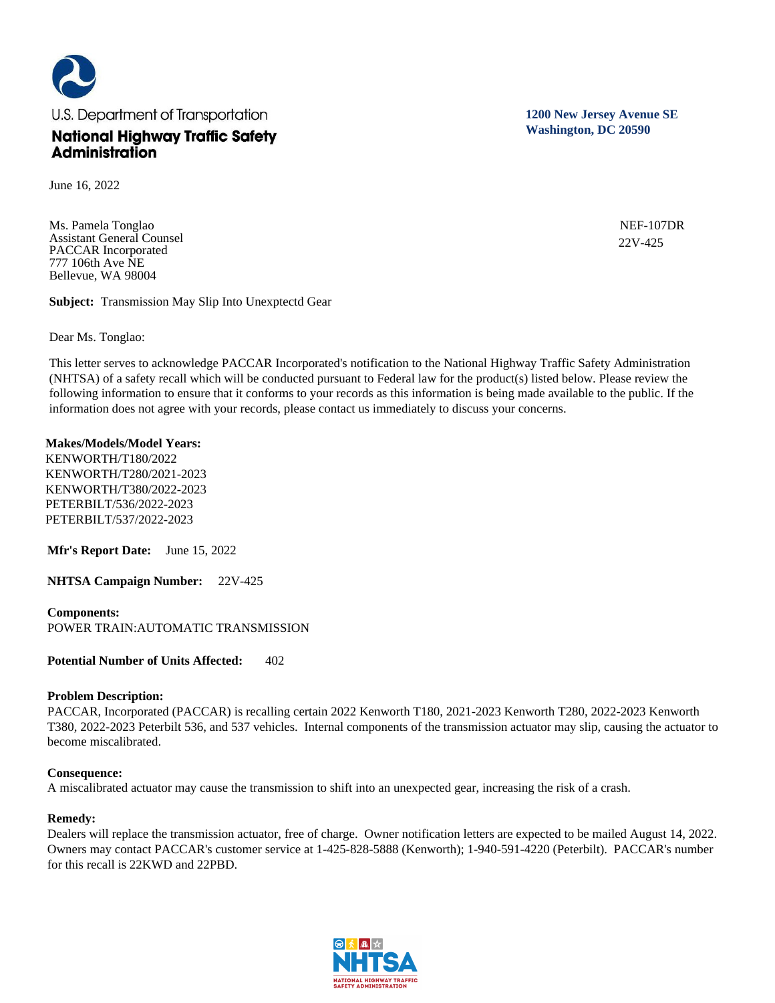

June 16, 2022

Ms. Pamela Tonglao Assistant General Counsel PACCAR Incorporated 777 106th Ave NE Bellevue, WA 98004

**Subject:** Transmission May Slip Into Unexptectd Gear

Dear Ms. Tonglao:

This letter serves to acknowledge PACCAR Incorporated's notification to the National Highway Traffic Safety Administration (NHTSA) of a safety recall which will be conducted pursuant to Federal law for the product(s) listed below. Please review the following information to ensure that it conforms to your records as this information is being made available to the public. If the information does not agree with your records, please contact us immediately to discuss your concerns.

#### **Makes/Models/Model Years:**

KENWORTH/T180/2022 KENWORTH/T280/2021-2023 KENWORTH/T380/2022-2023 PETERBILT/536/2022-2023 PETERBILT/537/2022-2023

**Mfr's Report Date:** June 15, 2022

**NHTSA Campaign Number:** 22V-425

# **Components:**

POWER TRAIN:AUTOMATIC TRANSMISSION

**Potential Number of Units Affected:** 402

# **Problem Description:**

PACCAR, Incorporated (PACCAR) is recalling certain 2022 Kenworth T180, 2021-2023 Kenworth T280, 2022-2023 Kenworth T380, 2022-2023 Peterbilt 536, and 537 vehicles. Internal components of the transmission actuator may slip, causing the actuator to become miscalibrated.

# **Consequence:**

A miscalibrated actuator may cause the transmission to shift into an unexpected gear, increasing the risk of a crash.

# **Remedy:**

Dealers will replace the transmission actuator, free of charge. Owner notification letters are expected to be mailed August 14, 2022. Owners may contact PACCAR's customer service at 1-425-828-5888 (Kenworth); 1-940-591-4220 (Peterbilt). PACCAR's number for this recall is 22KWD and 22PBD.



**1200 New Jersey Avenue SE Washington, DC 20590**

> NEF-107DR 22V-425